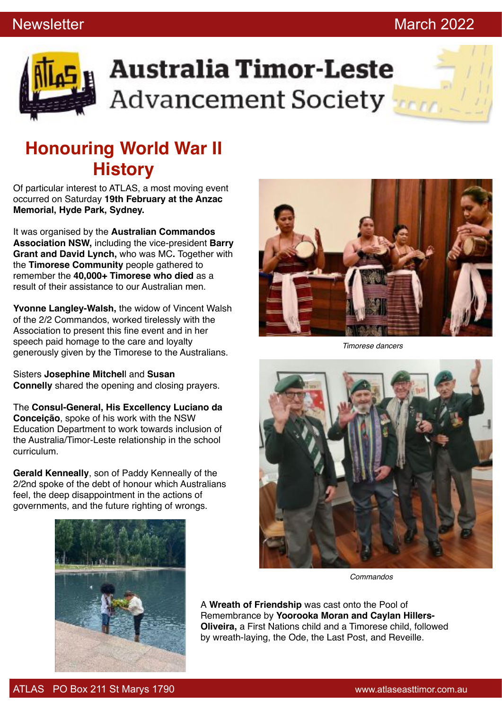### Newsletter **March 2022**



# **Australia Timor-Leste Advancement Society**

### **Honouring World War II History**

Of particular interest to ATLAS, a most moving event occurred on Saturday **19th February at the Anzac Memorial, Hyde Park, Sydney.**

It was organised by the **Australian Commandos Association NSW,** including the vice-president **Barry Grant and David Lynch,** who was MC**.** Together with the **Timorese Community** people gathered to remember the **40,000+ Timorese who died** as a result of their assistance to our Australian men.

**Yvonne Langley-Walsh,** the widow of Vincent Walsh of the 2/2 Commandos, worked tirelessly with the Association to present this fine event and in her speech paid homage to the care and loyalty generously given by the Timorese to the Australians.

Sisters **Josephine Mitchel**l and **Susan Connelly** shared the opening and closing prayers.

The **Consul-General, His Excellency Luciano da Conceição**, spoke of his work with the NSW Education Department to work towards inclusion of the Australia/Timor-Leste relationship in the school curriculum.

**Gerald Kenneally**, son of Paddy Kenneally of the 2/2nd spoke of the debt of honour which Australians feel, the deep disappointment in the actions of governments, and the future righting of wrongs.





*Timorese dancers*



*Commandos*

A **Wreath of Friendship** was cast onto the Pool of Remembrance by **Yoorooka Moran and Caylan Hillers-Oliveira,** a First Nations child and a Timorese child, followed by wreath-laying, the Ode, the Last Post, and Reveille.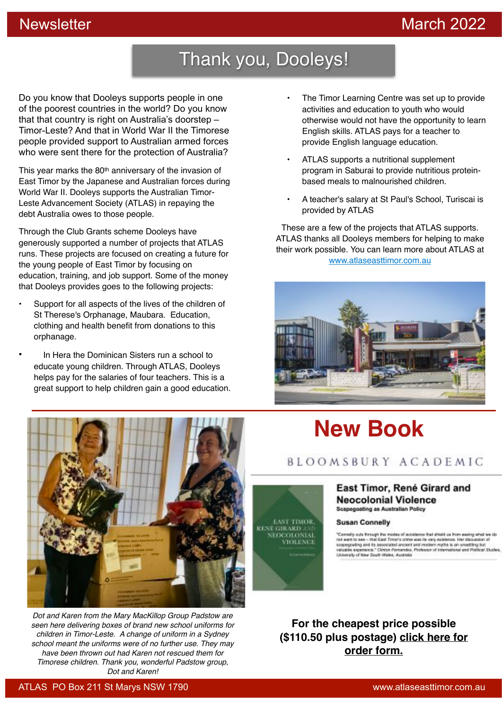### Newsletter March 2022

## Thank you, Dooleys!

Do you know that Dooleys supports people in one of the poorest countries in the world? Do you know that that country is right on Australia's doorstep – Timor-Leste? And that in World War II the Timorese people provided support to Australian armed forces who were sent there for the protection of Australia?

This year marks the 80<sup>th</sup> anniversary of the invasion of East Timor by the Japanese and Australian forces during World War II. Dooleys supports the Australian Timor-Leste Advancement Society (ATLAS) in repaying the debt Australia owes to those people.

Through the Club Grants scheme Dooleys have generously supported a number of projects that ATLAS runs. These projects are focused on creating a future for the young people of East Timor by focusing on education, training, and job support. Some of the money that Dooleys provides goes to the following projects:

- Support for all aspects of the lives of the children of St Therese's Orphanage, Maubara. Education, clothing and health benefit from donations to this orphanage.
- In Hera the Dominican Sisters run a school to educate young children. Through ATLAS, Dooleys helps pay for the salaries of four teachers. This is a great support to help children gain a good education.
- The Timor Learning Centre was set up to provide activities and education to youth who would otherwise would not have the opportunity to learn English skills. ATLAS pays for a teacher to provide English language education.
- ATLAS supports a nutritional supplement program in Saburai to provide nutritious proteinbased meals to malnourished children.
- A teacher's salary at St Paul's School, Turiscai is provided by ATLAS

These are a few of the projects that ATLAS supports. ATLAS thanks all Dooleys members for helping to make their work possible. You can learn more about ATLAS at www.atlaseasttimor.com.au





*Dot and Karen from the Mary MacKillop Group Padstow are seen here delivering boxes of brand new school uniforms for children in Timor-Leste. A change of uniform in a Sydney school meant the uniforms were of no further use. They may have been thrown out had Karen not rescued them for Timorese children. Thank you, wonderful Padstow group, Dot and Karen!*

## **New Book**

BLOOMSBURY ACADEMIC



### East Timor, René Girard and **Neocolonial Violence Scapegoating as Australian Policy**

### **Susan Connelly**

"Conselly outs firmups free modes of evolvisions that ahield us from exempleted free on<br>not want to easily first films Timer's crime was its very existence. Her discussion of<br>second paint as associated anotent and modern r

**For the cheapest price possible (\$110.50 plus postage) click here for order form.**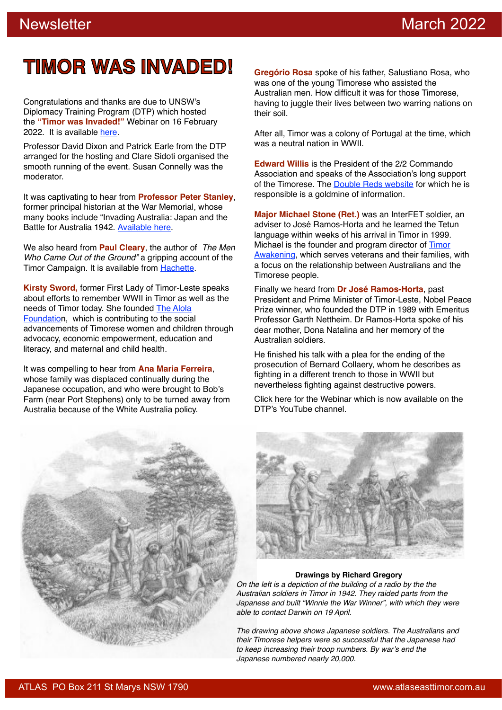## **TIMOR WAS INVADED!**

Congratulations and thanks are due to UNSW's Diplomacy Training Program (DTP) which hosted the **"Timor was Invaded!"** Webinar on 16 February 2022. It is available here.

Professor David Dixon and Patrick Earle from the DTP arranged for the hosting and Clare Sidoti organised the smooth running of the event. Susan Connelly was the moderator.

It was captivating to hear from **Professor Peter Stanley**, former principal historian at the War Memorial, whose many books include "Invading Australia: Japan and the Battle for Australia 1942. Available here.

We also heard from **Paul Cleary**, the author of *The Men Who Came Out of the Ground"* a gripping account of the Timor Campaign. It is available from Hachette.

**Kirsty Sword,** former First Lady of Timor-Leste speaks about efforts to remember WWII in Timor as well as the needs of Timor today. She founded The Alola Foundation, which is contributing to the social advancements of Timorese women and children through advocacy, economic empowerment, education and literacy, and maternal and child health.

It was compelling to hear from **Ana Maria Ferreira**, whose family was displaced continually during the Japanese occupation, and who were brought to Bob's Farm (near Port Stephens) only to be turned away from Australia because of the White Australia policy.

**Gregório Rosa** spoke of his father, Salustiano Rosa, who was one of the young Timorese who assisted the Australian men. How difficult it was for those Timorese, having to juggle their lives between two warring nations on their soil.

After all, Timor was a colony of Portugal at the time, which was a neutral nation in WWII.

**Edward Willis** is the President of the 2/2 Commando Association and speaks of the Association's long support of the Timorese. The Double Reds website for which he is responsible is a goldmine of information.

**Major Michael Stone (Ret.)** was an InterFET soldier, an adviser to José Ramos-Horta and he learned the Tetun language within weeks of his arrival in Timor in 1999. Michael is the founder and program director of Timor Awakening, which serves veterans and their families, with a focus on the relationship between Australians and the Timorese people.

Finally we heard from **Dr José Ramos-Horta**, past President and Prime Minister of Timor-Leste, Nobel Peace Prize winner, who founded the DTP in 1989 with Emeritus Professor Garth Nettheim. Dr Ramos-Horta spoke of his dear mother, Dona Natalina and her memory of the Australian soldiers.

He finished his talk with a plea for the ending of the prosecution of Bernard Collaery, whom he describes as fighting in a different trench to those in WWII but nevertheless fighting against destructive powers.

Click here for the Webinar which is now available on the DTP's YouTube channel.





### **Drawings by Richard Gregory**

*On the left is a depiction of the building of a radio by the the Australian soldiers in Timor in 1942. They raided parts from the Japanese and built "Winnie the War Winner", with which they were able to contact Darwin on 19 April.*

*The drawing above shows Japanese soldiers. The Australians and their Timorese helpers were so successful that the Japanese had to keep increasing their troop numbers. By war's end the Japanese numbered nearly 20,000.*